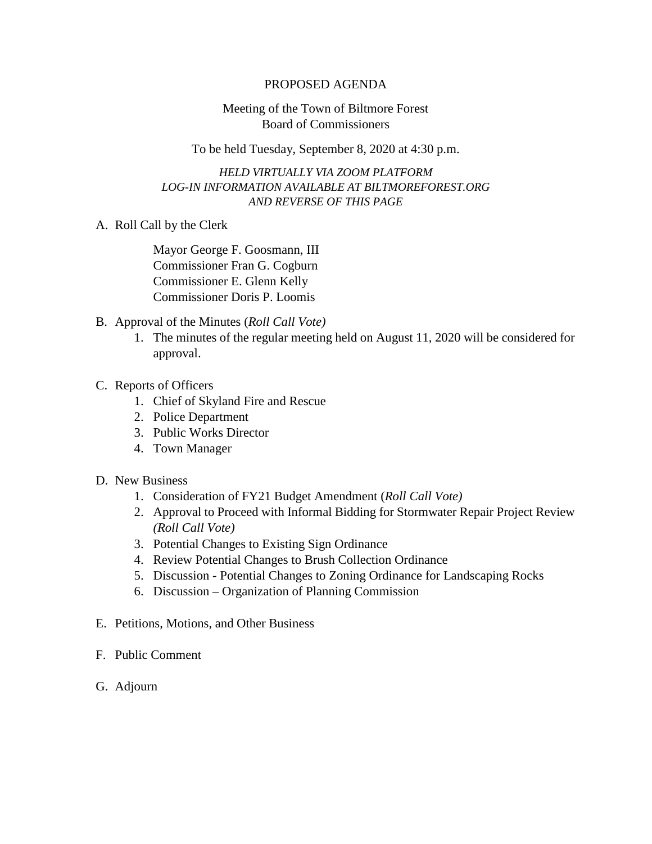## PROPOSED AGENDA

## Meeting of the Town of Biltmore Forest Board of Commissioners

To be held Tuesday, September 8, 2020 at 4:30 p.m.

## *HELD VIRTUALLY VIA ZOOM PLATFORM LOG-IN INFORMATION AVAILABLE AT BILTMOREFOREST.ORG AND REVERSE OF THIS PAGE*

A. Roll Call by the Clerk

Mayor George F. Goosmann, III Commissioner Fran G. Cogburn Commissioner E. Glenn Kelly Commissioner Doris P. Loomis

- B. Approval of the Minutes (*Roll Call Vote)*
	- 1. The minutes of the regular meeting held on August 11, 2020 will be considered for approval.
- C. Reports of Officers
	- 1. Chief of Skyland Fire and Rescue
	- 2. Police Department
	- 3. Public Works Director
	- 4. Town Manager
- D. New Business
	- 1. Consideration of FY21 Budget Amendment (*Roll Call Vote)*
	- 2. Approval to Proceed with Informal Bidding for Stormwater Repair Project Review *(Roll Call Vote)*
	- 3. Potential Changes to Existing Sign Ordinance
	- 4. Review Potential Changes to Brush Collection Ordinance
	- 5. Discussion Potential Changes to Zoning Ordinance for Landscaping Rocks
	- 6. Discussion Organization of Planning Commission
- E. Petitions, Motions, and Other Business
- F. Public Comment
- G. Adjourn